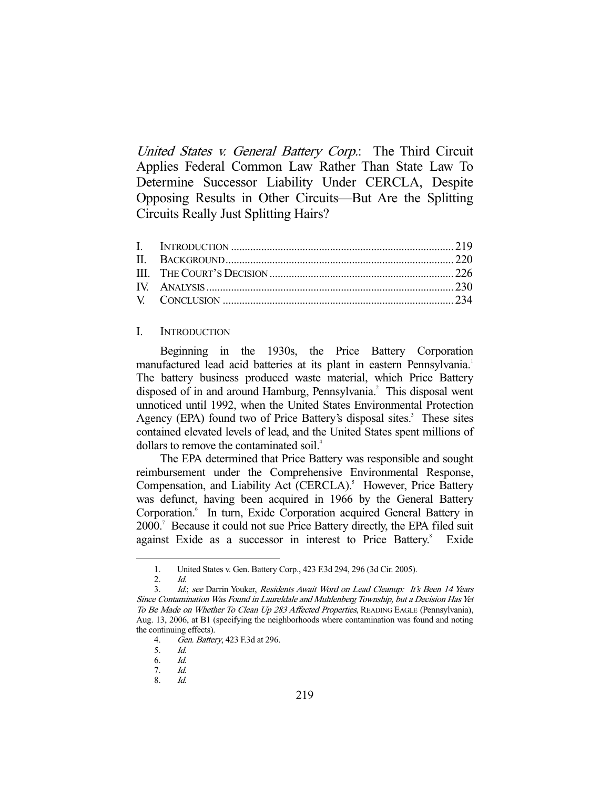United States v. General Battery Corp.: The Third Circuit Applies Federal Common Law Rather Than State Law To Determine Successor Liability Under CERCLA, Despite Opposing Results in Other Circuits—But Are the Splitting Circuits Really Just Splitting Hairs?

## I. INTRODUCTION

 Beginning in the 1930s, the Price Battery Corporation manufactured lead acid batteries at its plant in eastern Pennsylvania.<sup>1</sup> The battery business produced waste material, which Price Battery disposed of in and around Hamburg, Pennsylvania.<sup>2</sup> This disposal went unnoticed until 1992, when the United States Environmental Protection Agency (EPA) found two of Price Battery's disposal sites.<sup>3</sup> These sites contained elevated levels of lead, and the United States spent millions of dollars to remove the contaminated soil.4

 The EPA determined that Price Battery was responsible and sought reimbursement under the Comprehensive Environmental Response, Compensation, and Liability Act (CERCLA).<sup>5</sup> However, Price Battery was defunct, having been acquired in 1966 by the General Battery Corporation.<sup>6</sup> In turn, Exide Corporation acquired General Battery in 2000.7 Because it could not sue Price Battery directly, the EPA filed suit against Exide as a successor in interest to Price Battery.<sup>8</sup> Exide

 <sup>1.</sup> United States v. Gen. Battery Corp., 423 F.3d 294, 296 (3d Cir. 2005).

 <sup>2.</sup> Id.

<sup>3.</sup> Id.; see Darrin Youker, Residents Await Word on Lead Cleanup: It's Been 14 Years Since Contamination Was Found in Laureldale and Muhlenberg Township, but a Decision Has Yet To Be Made on Whether To Clean Up 283 Affected Properties, READING EAGLE (Pennsylvania), Aug. 13, 2006, at B1 (specifying the neighborhoods where contamination was found and noting the continuing effects).

 <sup>4.</sup> Gen. Battery, 423 F.3d at 296.

 <sup>5.</sup> Id.

 <sup>6.</sup> Id.

 <sup>7.</sup> Id.

 <sup>8.</sup> Id.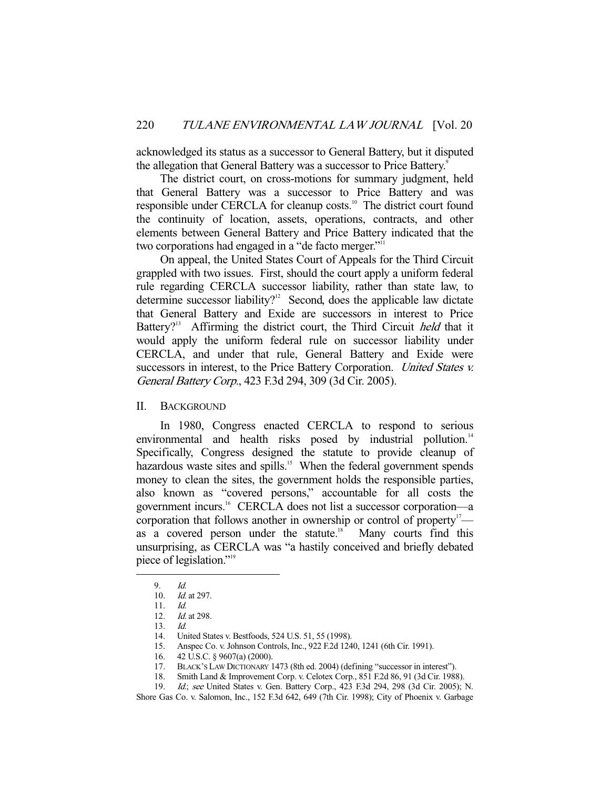acknowledged its status as a successor to General Battery, but it disputed the allegation that General Battery was a successor to Price Battery.<sup>9</sup>

 The district court, on cross-motions for summary judgment, held that General Battery was a successor to Price Battery and was responsible under CERCLA for cleanup costs.<sup>10</sup> The district court found the continuity of location, assets, operations, contracts, and other elements between General Battery and Price Battery indicated that the two corporations had engaged in a "de facto merger."<sup>11</sup>

 On appeal, the United States Court of Appeals for the Third Circuit grappled with two issues. First, should the court apply a uniform federal rule regarding CERCLA successor liability, rather than state law, to determine successor liability?<sup>12</sup> Second, does the applicable law dictate that General Battery and Exide are successors in interest to Price Battery?<sup>13</sup> Affirming the district court, the Third Circuit *held* that it would apply the uniform federal rule on successor liability under CERCLA, and under that rule, General Battery and Exide were successors in interest, to the Price Battery Corporation. United States v. General Battery Corp., 423 F.3d 294, 309 (3d Cir. 2005).

II. BACKGROUND

 In 1980, Congress enacted CERCLA to respond to serious environmental and health risks posed by industrial pollution.<sup>14</sup> Specifically, Congress designed the statute to provide cleanup of hazardous waste sites and spills.<sup>15</sup> When the federal government spends money to clean the sites, the government holds the responsible parties, also known as "covered persons," accountable for all costs the government incurs.16 CERCLA does not list a successor corporation—a corporation that follows another in ownership or control of property<sup>17</sup> as a covered person under the statute.<sup>18</sup> Many courts find this unsurprising, as CERCLA was "a hastily conceived and briefly debated piece of legislation."19

 <sup>9.</sup> Id.

 <sup>10.</sup> Id. at 297.

 <sup>11.</sup> Id.

 <sup>12.</sup> Id. at 298.

 <sup>13.</sup> Id.

<sup>14.</sup> United States v. Bestfoods, 524 U.S. 51, 55 (1998).<br>15. Anspec Co. v. Johnson Controls, Inc., 922 F.2d 124

Anspec Co. v. Johnson Controls, Inc., 922 F.2d 1240, 1241 (6th Cir. 1991).

 <sup>16. 42</sup> U.S.C. § 9607(a) (2000).

 <sup>17.</sup> BLACK'S LAW DICTIONARY 1473 (8th ed. 2004) (defining "successor in interest").

 <sup>18.</sup> Smith Land & Improvement Corp. v. Celotex Corp., 851 F.2d 86, 91 (3d Cir. 1988).

 <sup>19.</sup> Id.; see United States v. Gen. Battery Corp., 423 F.3d 294, 298 (3d Cir. 2005); N.

Shore Gas Co. v. Salomon, Inc., 152 F.3d 642, 649 (7th Cir. 1998); City of Phoenix v. Garbage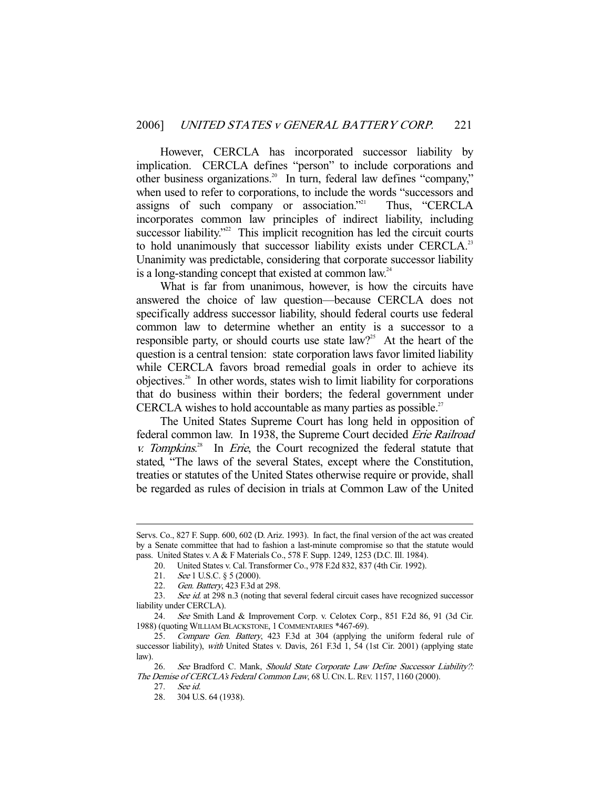However, CERCLA has incorporated successor liability by implication. CERCLA defines "person" to include corporations and other business organizations.20 In turn, federal law defines "company," when used to refer to corporations, to include the words "successors and assigns of such company or association."<sup>21</sup> Thus, "CERCLA incorporates common law principles of indirect liability, including successor liability."<sup>22</sup> This implicit recognition has led the circuit courts to hold unanimously that successor liability exists under CERCLA.<sup>23</sup> Unanimity was predictable, considering that corporate successor liability is a long-standing concept that existed at common law.<sup>24</sup>

 What is far from unanimous, however, is how the circuits have answered the choice of law question—because CERCLA does not specifically address successor liability, should federal courts use federal common law to determine whether an entity is a successor to a responsible party, or should courts use state  $law$ ?<sup>25</sup> At the heart of the question is a central tension: state corporation laws favor limited liability while CERCLA favors broad remedial goals in order to achieve its objectives.<sup>26</sup> In other words, states wish to limit liability for corporations that do business within their borders; the federal government under CERCLA wishes to hold accountable as many parties as possible.<sup>27</sup>

 The United States Supreme Court has long held in opposition of federal common law. In 1938, the Supreme Court decided Erie Railroad  $v.$  Tompkins.<sup>28</sup> In *Erie*, the Court recognized the federal statute that stated, "The laws of the several States, except where the Constitution, treaties or statutes of the United States otherwise require or provide, shall be regarded as rules of decision in trials at Common Law of the United

27. See id.

Servs. Co., 827 F. Supp. 600, 602 (D. Ariz. 1993). In fact, the final version of the act was created by a Senate committee that had to fashion a last-minute compromise so that the statute would pass. United States v. A & F Materials Co., 578 F. Supp. 1249, 1253 (D.C. Ill. 1984).

 <sup>20.</sup> United States v. Cal. Transformer Co., 978 F.2d 832, 837 (4th Cir. 1992).

<sup>21.</sup> See 1 U.S.C. § 5 (2000).

 <sup>22.</sup> Gen. Battery, 423 F.3d at 298.

<sup>23.</sup> See id. at 298 n.3 (noting that several federal circuit cases have recognized successor liability under CERCLA).

 <sup>24.</sup> See Smith Land & Improvement Corp. v. Celotex Corp., 851 F.2d 86, 91 (3d Cir. 1988) (quoting WILLIAM BLACKSTONE, 1COMMENTARIES \*467-69).

 <sup>25.</sup> Compare Gen. Battery, 423 F.3d at 304 (applying the uniform federal rule of successor liability), with United States v. Davis, 261 F.3d 1, 54 (1st Cir. 2001) (applying state law).

<sup>26.</sup> See Bradford C. Mank, Should State Corporate Law Define Successor Liability?: The Demise of CERCLA's Federal Common Law, 68 U. CIN. L. REV. 1157, 1160 (2000).

 <sup>28. 304</sup> U.S. 64 (1938).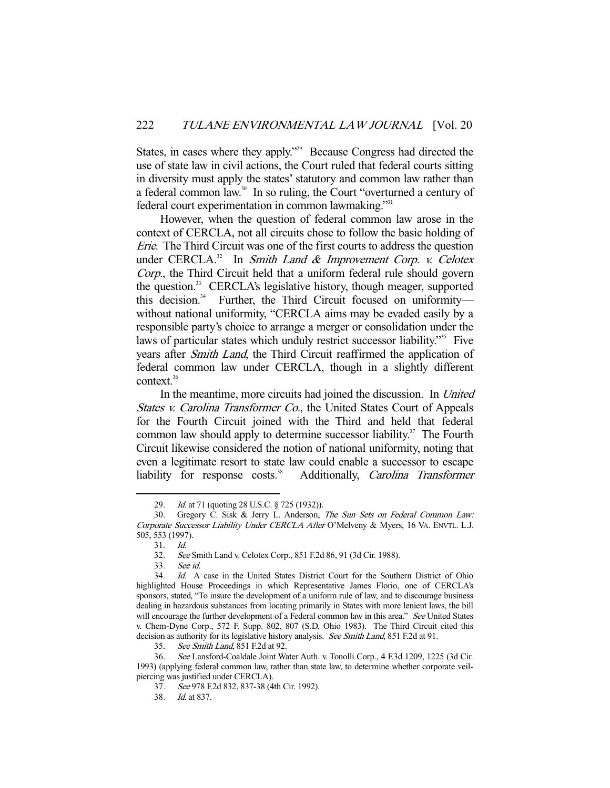States, in cases where they apply."<sup>29</sup> Because Congress had directed the use of state law in civil actions, the Court ruled that federal courts sitting in diversity must apply the states' statutory and common law rather than a federal common law.<sup>30</sup> In so ruling, the Court "overturned a century of federal court experimentation in common lawmaking."<sup>31</sup>

 However, when the question of federal common law arose in the context of CERCLA, not all circuits chose to follow the basic holding of Erie. The Third Circuit was one of the first courts to address the question under CERCLA. $32$  In Smith Land & Improvement Corp. v. Celotex Corp., the Third Circuit held that a uniform federal rule should govern the question.33 CERCLA's legislative history, though meager, supported this decision.<sup>34</sup> Further, the Third Circuit focused on uniformity without national uniformity, "CERCLA aims may be evaded easily by a responsible party's choice to arrange a merger or consolidation under the laws of particular states which unduly restrict successor liability."<sup>35</sup> Five years after Smith Land, the Third Circuit reaffirmed the application of federal common law under CERCLA, though in a slightly different context.<sup>36</sup>

 In the meantime, more circuits had joined the discussion. In United States v. Carolina Transformer Co., the United States Court of Appeals for the Fourth Circuit joined with the Third and held that federal common law should apply to determine successor liability.<sup>37</sup> The Fourth Circuit likewise considered the notion of national uniformity, noting that even a legitimate resort to state law could enable a successor to escape liability for response costs.<sup>38</sup> Additionally, *Carolina Transformer* 

<sup>29.</sup> *Id.* at 71 (quoting 28 U.S.C. § 725 (1932)).

 <sup>30.</sup> Gregory C. Sisk & Jerry L. Anderson, The Sun Sets on Federal Common Law: Corporate Successor Liability Under CERCLA After O'Melveny & Myers, 16 VA. ENVTL. L.J. 505, 553 (1997).

 <sup>31.</sup> Id.

 <sup>32.</sup> See Smith Land v. Celotex Corp., 851 F.2d 86, 91 (3d Cir. 1988).

 <sup>33.</sup> See id.

 <sup>34.</sup> Id. A case in the United States District Court for the Southern District of Ohio highlighted House Proceedings in which Representative James Florio, one of CERCLA's sponsors, stated, "To insure the development of a uniform rule of law, and to discourage business dealing in hazardous substances from locating primarily in States with more lenient laws, the bill will encourage the further development of a Federal common law in this area." See United States v. Chem-Dyne Corp., 572 F. Supp. 802, 807 (S.D. Ohio 1983). The Third Circuit cited this decision as authority for its legislative history analysis. See Smith Land, 851 F.2d at 91.

 <sup>35.</sup> See Smith Land, 851 F.2d at 92.

 <sup>36.</sup> See Lansford-Coaldale Joint Water Auth. v. Tonolli Corp., 4 F.3d 1209, 1225 (3d Cir. 1993) (applying federal common law, rather than state law, to determine whether corporate veilpiercing was justified under CERCLA).

 <sup>37.</sup> See 978 F.2d 832, 837-38 (4th Cir. 1992).

 <sup>38.</sup> Id. at 837.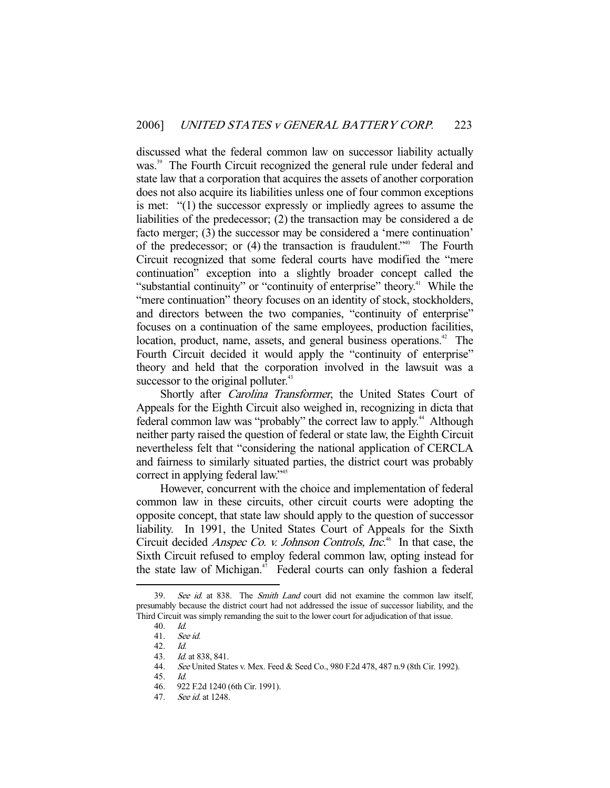discussed what the federal common law on successor liability actually was.<sup>39</sup> The Fourth Circuit recognized the general rule under federal and state law that a corporation that acquires the assets of another corporation does not also acquire its liabilities unless one of four common exceptions is met: "(1) the successor expressly or impliedly agrees to assume the liabilities of the predecessor; (2) the transaction may be considered a de facto merger; (3) the successor may be considered a 'mere continuation' of the predecessor; or  $(4)$  the transaction is fraudulent.<sup> $140$ </sup> The Fourth Circuit recognized that some federal courts have modified the "mere continuation" exception into a slightly broader concept called the "substantial continuity" or "continuity of enterprise" theory.<sup>41</sup> While the "mere continuation" theory focuses on an identity of stock, stockholders, and directors between the two companies, "continuity of enterprise" focuses on a continuation of the same employees, production facilities, location, product, name, assets, and general business operations.<sup>42</sup> The Fourth Circuit decided it would apply the "continuity of enterprise" theory and held that the corporation involved in the lawsuit was a successor to the original polluter.<sup>43</sup>

Shortly after *Carolina Transformer*, the United States Court of Appeals for the Eighth Circuit also weighed in, recognizing in dicta that federal common law was "probably" the correct law to apply.<sup>44</sup> Although neither party raised the question of federal or state law, the Eighth Circuit nevertheless felt that "considering the national application of CERCLA and fairness to similarly situated parties, the district court was probably correct in applying federal law."<sup>45</sup>

 However, concurrent with the choice and implementation of federal common law in these circuits, other circuit courts were adopting the opposite concept, that state law should apply to the question of successor liability. In 1991, the United States Court of Appeals for the Sixth Circuit decided *Anspec Co. v. Johnson Controls, Inc.*<sup>46</sup> In that case, the Sixth Circuit refused to employ federal common law, opting instead for the state law of Michigan.<sup>47</sup> Federal courts can only fashion a federal

<sup>39.</sup> See id. at 838. The Smith Land court did not examine the common law itself, presumably because the district court had not addressed the issue of successor liability, and the Third Circuit was simply remanding the suit to the lower court for adjudication of that issue.

 <sup>40.</sup> Id.

 <sup>41.</sup> See id.

 <sup>42.</sup> Id.

 <sup>43.</sup> Id. at 838, 841.

 <sup>44.</sup> See United States v. Mex. Feed & Seed Co., 980 F.2d 478, 487 n.9 (8th Cir. 1992).

 <sup>45.</sup> Id.

 <sup>46. 922</sup> F.2d 1240 (6th Cir. 1991).

<sup>47.</sup> See id. at 1248.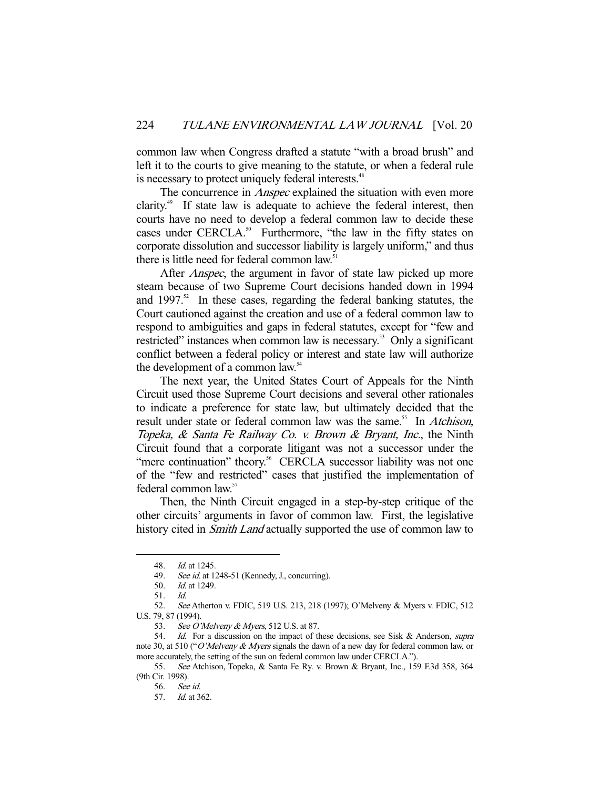common law when Congress drafted a statute "with a broad brush" and left it to the courts to give meaning to the statute, or when a federal rule is necessary to protect uniquely federal interests.<sup>48</sup>

The concurrence in *Anspec* explained the situation with even more clarity.<sup>49</sup> If state law is adequate to achieve the federal interest, then courts have no need to develop a federal common law to decide these cases under CERCLA.<sup>50</sup> Furthermore, "the law in the fifty states on corporate dissolution and successor liability is largely uniform," and thus there is little need for federal common law.<sup>51</sup>

After *Anspec*, the argument in favor of state law picked up more steam because of two Supreme Court decisions handed down in 1994 and  $1997$ .<sup>52</sup> In these cases, regarding the federal banking statutes, the Court cautioned against the creation and use of a federal common law to respond to ambiguities and gaps in federal statutes, except for "few and restricted" instances when common law is necessary.<sup>53</sup> Only a significant conflict between a federal policy or interest and state law will authorize the development of a common law.<sup>54</sup>

 The next year, the United States Court of Appeals for the Ninth Circuit used those Supreme Court decisions and several other rationales to indicate a preference for state law, but ultimately decided that the result under state or federal common law was the same.<sup>55</sup> In Atchison, Topeka, & Santa Fe Railway Co. v. Brown & Bryant, Inc., the Ninth Circuit found that a corporate litigant was not a successor under the "mere continuation" theory.<sup>56</sup> CERCLA successor liability was not one of the "few and restricted" cases that justified the implementation of federal common law.57

 Then, the Ninth Circuit engaged in a step-by-step critique of the other circuits' arguments in favor of common law. First, the legislative history cited in *Smith Land* actually supported the use of common law to

 <sup>48.</sup> Id. at 1245.

<sup>49.</sup> See id. at 1248-51 (Kennedy, J., concurring).

 <sup>50.</sup> Id. at 1249.

 <sup>51.</sup> Id.

 <sup>52.</sup> See Atherton v. FDIC, 519 U.S. 213, 218 (1997); O'Melveny & Myers v. FDIC, 512 U.S. 79, 87 (1994).

<sup>53.</sup> See O'Melveny & Myers, 512 U.S. at 87.

<sup>54.</sup> Id. For a discussion on the impact of these decisions, see Sisk & Anderson, supra note 30, at 510 ("O'Melveny & Myers signals the dawn of a new day for federal common law, or more accurately, the setting of the sun on federal common law under CERCLA.").

 <sup>55.</sup> See Atchison, Topeka, & Santa Fe Ry. v. Brown & Bryant, Inc., 159 F.3d 358, 364 (9th Cir. 1998).

 <sup>56.</sup> See id.

 <sup>57.</sup> Id. at 362.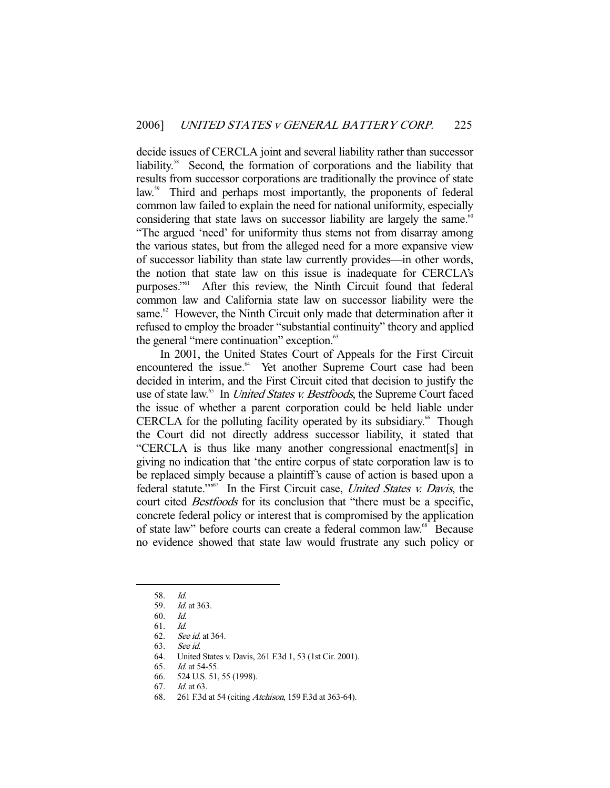decide issues of CERCLA joint and several liability rather than successor liability.58 Second, the formation of corporations and the liability that results from successor corporations are traditionally the province of state law.<sup>59</sup> Third and perhaps most importantly, the proponents of federal common law failed to explain the need for national uniformity, especially considering that state laws on successor liability are largely the same.<sup>60</sup> "The argued 'need' for uniformity thus stems not from disarray among the various states, but from the alleged need for a more expansive view of successor liability than state law currently provides—in other words, the notion that state law on this issue is inadequate for CERCLA's purposes."<sup>61</sup> After this review, the Ninth Circuit found that federal common law and California state law on successor liability were the same.<sup>62</sup> However, the Ninth Circuit only made that determination after it refused to employ the broader "substantial continuity" theory and applied the general "mere continuation" exception.<sup>63</sup>

 In 2001, the United States Court of Appeals for the First Circuit encountered the issue.<sup>64</sup> Yet another Supreme Court case had been decided in interim, and the First Circuit cited that decision to justify the use of state law.<sup>65</sup> In *United States v. Bestfoods*, the Supreme Court faced the issue of whether a parent corporation could be held liable under CERCLA for the polluting facility operated by its subsidiary.<sup>66</sup> Though the Court did not directly address successor liability, it stated that "CERCLA is thus like many another congressional enactment[s] in giving no indication that 'the entire corpus of state corporation law is to be replaced simply because a plaintiff's cause of action is based upon a federal statute.'"<sup>67</sup> In the First Circuit case, *United States v. Davis*, the court cited *Bestfoods* for its conclusion that "there must be a specific, concrete federal policy or interest that is compromised by the application of state law" before courts can create a federal common law.<sup>68</sup> Because no evidence showed that state law would frustrate any such policy or

 <sup>58.</sup> Id.

 <sup>59.</sup> Id. at 363.

 <sup>60.</sup> Id.

 <sup>61.</sup> Id.

 <sup>62.</sup> See id. at 364.

 <sup>63.</sup> See id.

 <sup>64.</sup> United States v. Davis, 261 F.3d 1, 53 (1st Cir. 2001).

 <sup>65.</sup> Id. at 54-55.

 <sup>66. 524</sup> U.S. 51, 55 (1998).

 <sup>67.</sup> Id. at 63.

 <sup>68. 261</sup> F.3d at 54 (citing Atchison, 159 F.3d at 363-64).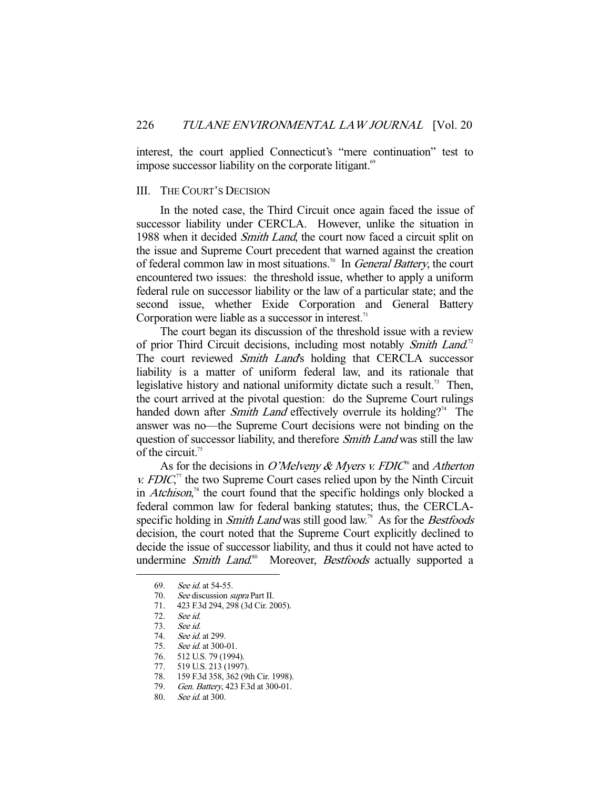interest, the court applied Connecticut's "mere continuation" test to impose successor liability on the corporate litigant.<sup>69</sup>

## III. THE COURT'S DECISION

 In the noted case, the Third Circuit once again faced the issue of successor liability under CERCLA. However, unlike the situation in 1988 when it decided Smith Land, the court now faced a circuit split on the issue and Supreme Court precedent that warned against the creation of federal common law in most situations.<sup>70</sup> In *General Battery*, the court encountered two issues: the threshold issue, whether to apply a uniform federal rule on successor liability or the law of a particular state; and the second issue, whether Exide Corporation and General Battery Corporation were liable as a successor in interest. $71$ 

 The court began its discussion of the threshold issue with a review of prior Third Circuit decisions, including most notably Smith Land.<sup>72</sup> The court reviewed Smith Land's holding that CERCLA successor liability is a matter of uniform federal law, and its rationale that legislative history and national uniformity dictate such a result.<sup>73</sup> Then, the court arrived at the pivotal question: do the Supreme Court rulings handed down after *Smith Land* effectively overrule its holding?<sup>74</sup> The answer was no—the Supreme Court decisions were not binding on the question of successor liability, and therefore *Smith Land* was still the law of the circuit.<sup>75</sup>

As for the decisions in O'Melveny & Myers v. FDIC<sup> $6$ </sup> and Atherton *, the two Supreme Court cases relied upon by the Ninth Circuit* in *Atchison*,<sup>78</sup> the court found that the specific holdings only blocked a federal common law for federal banking statutes; thus, the CERCLAspecific holding in *Smith Land* was still good law.<sup>79</sup> As for the *Bestfoods* decision, the court noted that the Supreme Court explicitly declined to decide the issue of successor liability, and thus it could not have acted to undermine Smith Land.<sup>80</sup> Moreover, Bestfoods actually supported a

 <sup>69.</sup> See id. at 54-55.

<sup>70.</sup> See discussion supra Part II.

 <sup>71. 423</sup> F.3d 294, 298 (3d Cir. 2005).

 <sup>72.</sup> See id.

 <sup>73.</sup> See id.

<sup>74.</sup> See id. at 299.<br>75. See id. at 300-

See id. at 300-01.

 <sup>76. 512</sup> U.S. 79 (1994).

 <sup>77. 519</sup> U.S. 213 (1997).

 <sup>78. 159</sup> F.3d 358, 362 (9th Cir. 1998).

<sup>79.</sup> Gen. Battery, 423 F.3d at 300-01.

 <sup>80.</sup> See id. at 300.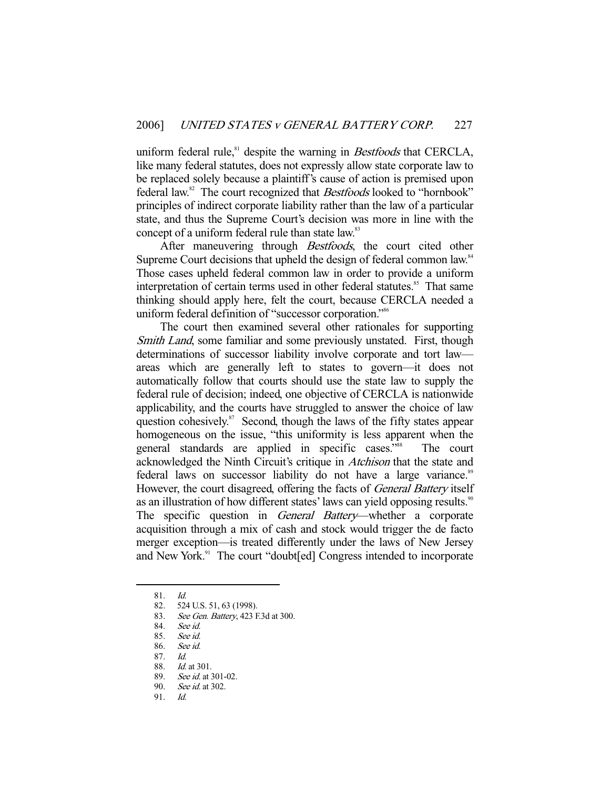uniform federal rule,<sup>81</sup> despite the warning in *Bestfoods* that CERCLA, like many federal statutes, does not expressly allow state corporate law to be replaced solely because a plaintiff's cause of action is premised upon federal law.<sup>82</sup> The court recognized that *Bestfoods* looked to "hornbook" principles of indirect corporate liability rather than the law of a particular state, and thus the Supreme Court's decision was more in line with the concept of a uniform federal rule than state law.<sup>83</sup>

After maneuvering through *Bestfoods*, the court cited other Supreme Court decisions that upheld the design of federal common law.<sup>84</sup> Those cases upheld federal common law in order to provide a uniform interpretation of certain terms used in other federal statutes.<sup>85</sup> That same thinking should apply here, felt the court, because CERCLA needed a uniform federal definition of "successor corporation."<sup>86</sup>

 The court then examined several other rationales for supporting Smith Land, some familiar and some previously unstated. First, though determinations of successor liability involve corporate and tort law areas which are generally left to states to govern—it does not automatically follow that courts should use the state law to supply the federal rule of decision; indeed, one objective of CERCLA is nationwide applicability, and the courts have struggled to answer the choice of law question cohesively. $87$  Second, though the laws of the fifty states appear homogeneous on the issue, "this uniformity is less apparent when the general standards are applied in specific cases."88 The court acknowledged the Ninth Circuit's critique in Atchison that the state and federal laws on successor liability do not have a large variance.<sup>89</sup> However, the court disagreed, offering the facts of *General Battery* itself as an illustration of how different states' laws can yield opposing results.<sup>90</sup> The specific question in General Battery—whether a corporate acquisition through a mix of cash and stock would trigger the de facto merger exception—is treated differently under the laws of New Jersey and New York.<sup>91</sup> The court "doubt[ed] Congress intended to incorporate

-

89. See id. at 301-02.<br>90. See id. at 302.

91. Id.

 <sup>81.</sup> Id.

 <sup>82. 524</sup> U.S. 51, 63 (1998).

<sup>83.</sup> See Gen. Battery, 423 F.3d at 300.<br>84. See id.

See id.

 <sup>85.</sup> See id.

 <sup>86.</sup> See id.

 <sup>87.</sup> Id.

 <sup>88.</sup> Id. at 301.

See id. at 302.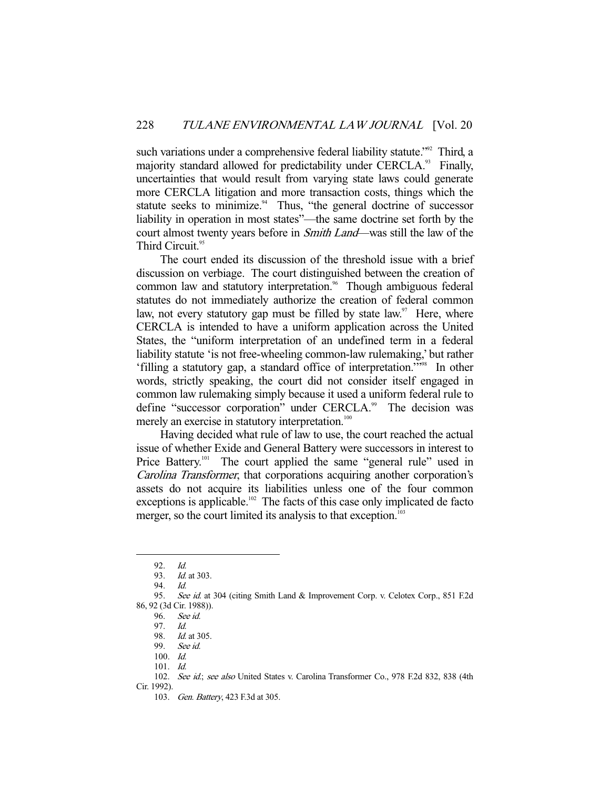such variations under a comprehensive federal liability statute."<sup>92</sup> Third, a majority standard allowed for predictability under CERCLA.<sup>93</sup> Finally, uncertainties that would result from varying state laws could generate more CERCLA litigation and more transaction costs, things which the statute seeks to minimize.<sup>94</sup> Thus, "the general doctrine of successor liability in operation in most states"—the same doctrine set forth by the court almost twenty years before in *Smith Land*—was still the law of the Third Circuit.<sup>95</sup>

 The court ended its discussion of the threshold issue with a brief discussion on verbiage. The court distinguished between the creation of common law and statutory interpretation.<sup>96</sup> Though ambiguous federal statutes do not immediately authorize the creation of federal common law, not every statutory gap must be filled by state law.<sup>97</sup> Here, where CERCLA is intended to have a uniform application across the United States, the "uniform interpretation of an undefined term in a federal liability statute 'is not free-wheeling common-law rulemaking,' but rather 'filling a statutory gap, a standard office of interpretation.'"98 In other words, strictly speaking, the court did not consider itself engaged in common law rulemaking simply because it used a uniform federal rule to define "successor corporation" under CERCLA.<sup>99</sup> The decision was merely an exercise in statutory interpretation.<sup>100</sup>

 Having decided what rule of law to use, the court reached the actual issue of whether Exide and General Battery were successors in interest to Price Battery.<sup>101</sup> The court applied the same "general rule" used in Carolina Transformer, that corporations acquiring another corporation's assets do not acquire its liabilities unless one of the four common exceptions is applicable.<sup>102</sup> The facts of this case only implicated de facto merger, so the court limited its analysis to that exception.<sup>103</sup>

 <sup>92.</sup> Id.

 <sup>93.</sup> Id. at 303.

 <sup>94.</sup> Id.

<sup>95.</sup> See id. at 304 (citing Smith Land & Improvement Corp. v. Celotex Corp., 851 F.2d 86, 92 (3d Cir. 1988)).

 <sup>96.</sup> See id.

 <sup>97.</sup> Id.

<sup>98.</sup> *Id.* at 305.

 <sup>99.</sup> See id.

 <sup>100.</sup> Id.

 <sup>101.</sup> Id.

<sup>102.</sup> See id.; see also United States v. Carolina Transformer Co., 978 F.2d 832, 838 (4th Cir. 1992).

 <sup>103.</sup> Gen. Battery, 423 F.3d at 305.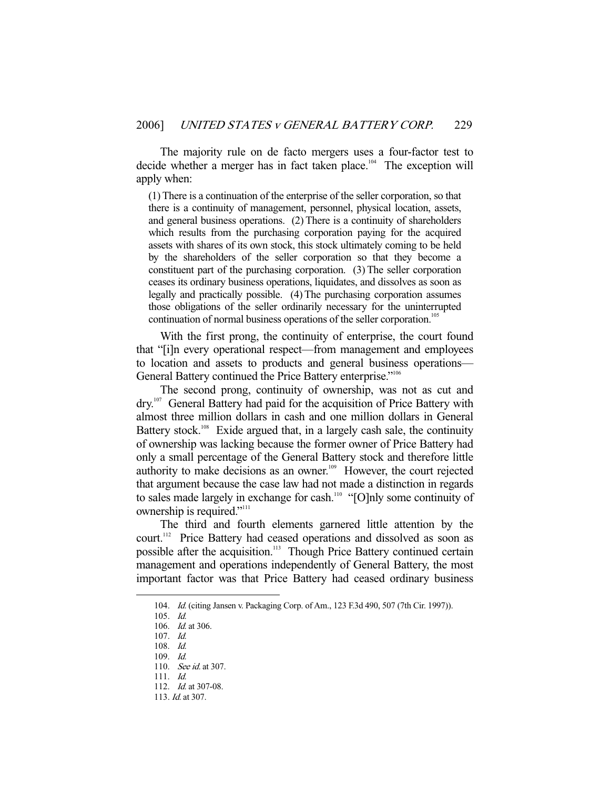The majority rule on de facto mergers uses a four-factor test to decide whether a merger has in fact taken place.<sup>104</sup> The exception will apply when:

(1) There is a continuation of the enterprise of the seller corporation, so that there is a continuity of management, personnel, physical location, assets, and general business operations. (2) There is a continuity of shareholders which results from the purchasing corporation paying for the acquired assets with shares of its own stock, this stock ultimately coming to be held by the shareholders of the seller corporation so that they become a constituent part of the purchasing corporation. (3) The seller corporation ceases its ordinary business operations, liquidates, and dissolves as soon as legally and practically possible. (4) The purchasing corporation assumes those obligations of the seller ordinarily necessary for the uninterrupted continuation of normal business operations of the seller corporation.<sup>105</sup>

 With the first prong, the continuity of enterprise, the court found that "[i]n every operational respect—from management and employees to location and assets to products and general business operations— General Battery continued the Price Battery enterprise."<sup>106</sup>

 The second prong, continuity of ownership, was not as cut and dry.<sup>107</sup> General Battery had paid for the acquisition of Price Battery with almost three million dollars in cash and one million dollars in General Battery stock.<sup>108</sup> Exide argued that, in a largely cash sale, the continuity of ownership was lacking because the former owner of Price Battery had only a small percentage of the General Battery stock and therefore little authority to make decisions as an owner.<sup>109</sup> However, the court rejected that argument because the case law had not made a distinction in regards to sales made largely in exchange for cash.<sup>110</sup> "[O]nly some continuity of ownership is required."<sup>111</sup>

 The third and fourth elements garnered little attention by the court.112 Price Battery had ceased operations and dissolved as soon as possible after the acquisition.<sup>113</sup> Though Price Battery continued certain management and operations independently of General Battery, the most important factor was that Price Battery had ceased ordinary business

 <sup>104.</sup> Id. (citing Jansen v. Packaging Corp. of Am., 123 F.3d 490, 507 (7th Cir. 1997)).

 <sup>105.</sup> Id.

<sup>106.</sup> *Id.* at 306.

 <sup>107.</sup> Id.

 <sup>108.</sup> Id.

 <sup>109.</sup> Id.

<sup>110.</sup> See id. at 307.

 <sup>111.</sup> Id.

<sup>112.</sup> *Id.* at 307-08.

 <sup>113.</sup> Id. at 307.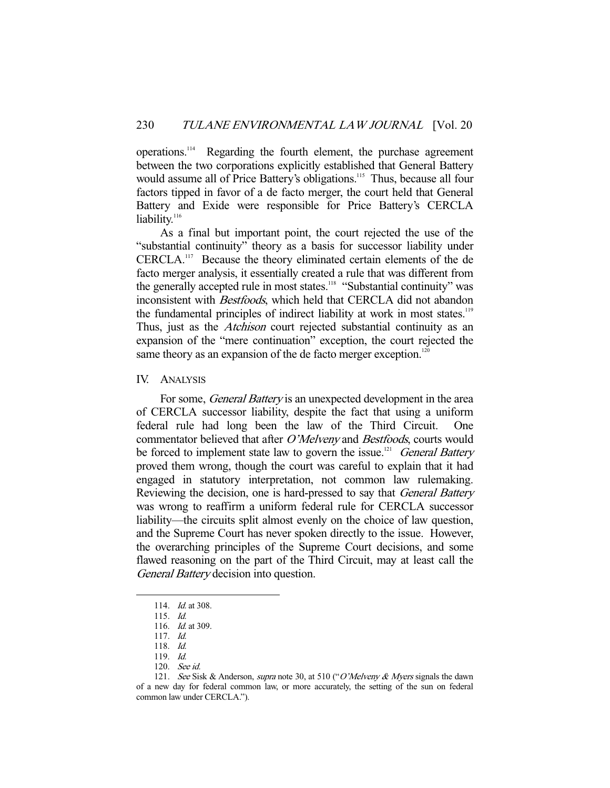operations.114 Regarding the fourth element, the purchase agreement between the two corporations explicitly established that General Battery would assume all of Price Battery's obligations.<sup>115</sup> Thus, because all four factors tipped in favor of a de facto merger, the court held that General Battery and Exide were responsible for Price Battery's CERCLA liability.<sup>116</sup>

 As a final but important point, the court rejected the use of the "substantial continuity" theory as a basis for successor liability under CERCLA.117 Because the theory eliminated certain elements of the de facto merger analysis, it essentially created a rule that was different from the generally accepted rule in most states.<sup>118</sup> "Substantial continuity" was inconsistent with Bestfoods, which held that CERCLA did not abandon the fundamental principles of indirect liability at work in most states.<sup>119</sup> Thus, just as the Atchison court rejected substantial continuity as an expansion of the "mere continuation" exception, the court rejected the same theory as an expansion of the de facto merger exception.<sup>120</sup>

## IV. ANALYSIS

For some, *General Battery* is an unexpected development in the area of CERCLA successor liability, despite the fact that using a uniform federal rule had long been the law of the Third Circuit. One commentator believed that after O'Melveny and Bestfoods, courts would be forced to implement state law to govern the issue.<sup>121</sup> General Battery proved them wrong, though the court was careful to explain that it had engaged in statutory interpretation, not common law rulemaking. Reviewing the decision, one is hard-pressed to say that *General Battery* was wrong to reaffirm a uniform federal rule for CERCLA successor liability—the circuits split almost evenly on the choice of law question, and the Supreme Court has never spoken directly to the issue. However, the overarching principles of the Supreme Court decisions, and some flawed reasoning on the part of the Third Circuit, may at least call the General Battery decision into question.

 <sup>114.</sup> Id. at 308.

 <sup>115.</sup> Id.

 <sup>116.</sup> Id. at 309.

 <sup>117.</sup> Id.

 <sup>118.</sup> Id.

 <sup>119.</sup> Id.

 <sup>120.</sup> See id.

<sup>121.</sup> See Sisk & Anderson, *supra* note 30, at 510 ("O'Melveny & Myers signals the dawn of a new day for federal common law, or more accurately, the setting of the sun on federal common law under CERCLA.").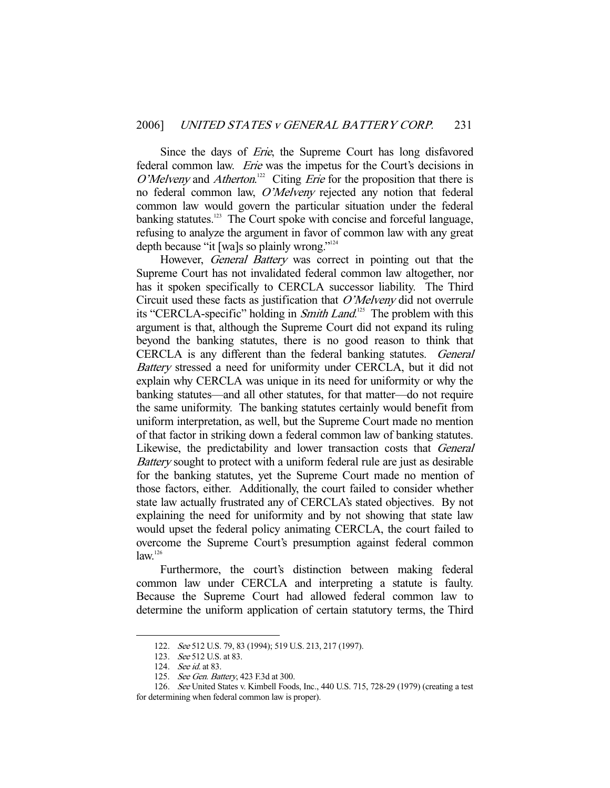Since the days of *Erie*, the Supreme Court has long disfavored federal common law. *Erie* was the impetus for the Court's decisions in O'Melveny and Atherton.<sup>122</sup> Citing *Erie* for the proposition that there is no federal common law, O'Melveny rejected any notion that federal common law would govern the particular situation under the federal banking statutes.<sup>123</sup> The Court spoke with concise and forceful language, refusing to analyze the argument in favor of common law with any great depth because "it [wa]s so plainly wrong."124

However, *General Battery* was correct in pointing out that the Supreme Court has not invalidated federal common law altogether, nor has it spoken specifically to CERCLA successor liability. The Third Circuit used these facts as justification that O'Melveny did not overrule its "CERCLA-specific" holding in *Smith Land*.<sup>125</sup> The problem with this argument is that, although the Supreme Court did not expand its ruling beyond the banking statutes, there is no good reason to think that CERCLA is any different than the federal banking statutes. General Battery stressed a need for uniformity under CERCLA, but it did not explain why CERCLA was unique in its need for uniformity or why the banking statutes—and all other statutes, for that matter—do not require the same uniformity. The banking statutes certainly would benefit from uniform interpretation, as well, but the Supreme Court made no mention of that factor in striking down a federal common law of banking statutes. Likewise, the predictability and lower transaction costs that General Battery sought to protect with a uniform federal rule are just as desirable for the banking statutes, yet the Supreme Court made no mention of those factors, either. Additionally, the court failed to consider whether state law actually frustrated any of CERCLA's stated objectives. By not explaining the need for uniformity and by not showing that state law would upset the federal policy animating CERCLA, the court failed to overcome the Supreme Court's presumption against federal common  $law<sup>126</sup>$ 

 Furthermore, the court's distinction between making federal common law under CERCLA and interpreting a statute is faulty. Because the Supreme Court had allowed federal common law to determine the uniform application of certain statutory terms, the Third

 <sup>122.</sup> See 512 U.S. 79, 83 (1994); 519 U.S. 213, 217 (1997).

 <sup>123.</sup> See 512 U.S. at 83.

<sup>124.</sup> See id. at 83.

<sup>125.</sup> See Gen. Battery, 423 F.3d at 300.

 <sup>126.</sup> See United States v. Kimbell Foods, Inc., 440 U.S. 715, 728-29 (1979) (creating a test for determining when federal common law is proper).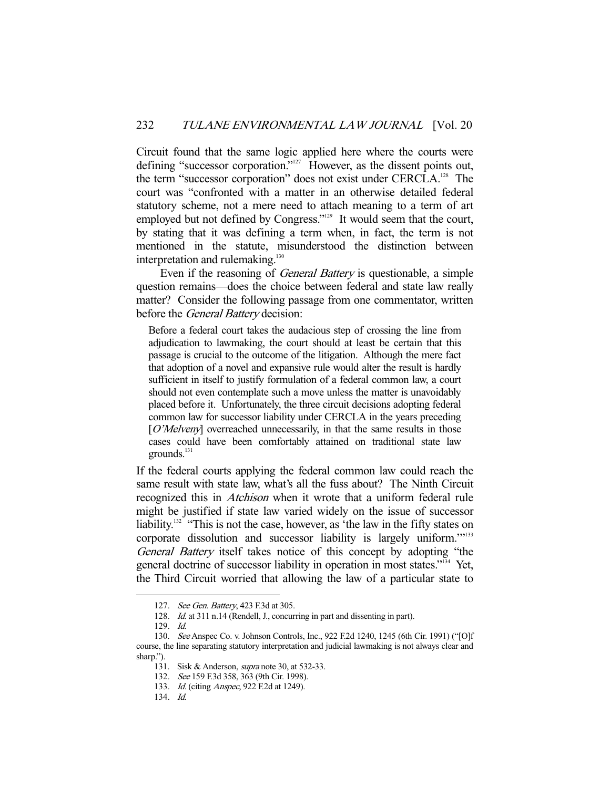Circuit found that the same logic applied here where the courts were defining "successor corporation."<sup>127</sup> However, as the dissent points out, the term "successor corporation" does not exist under CERCLA.<sup>128</sup> The court was "confronted with a matter in an otherwise detailed federal statutory scheme, not a mere need to attach meaning to a term of art employed but not defined by Congress."<sup>129</sup> It would seem that the court, by stating that it was defining a term when, in fact, the term is not mentioned in the statute, misunderstood the distinction between interpretation and rulemaking. $130$ 

 Even if the reasoning of General Battery is questionable, a simple question remains—does the choice between federal and state law really matter? Consider the following passage from one commentator, written before the *General Battery* decision:

Before a federal court takes the audacious step of crossing the line from adjudication to lawmaking, the court should at least be certain that this passage is crucial to the outcome of the litigation. Although the mere fact that adoption of a novel and expansive rule would alter the result is hardly sufficient in itself to justify formulation of a federal common law, a court should not even contemplate such a move unless the matter is unavoidably placed before it. Unfortunately, the three circuit decisions adopting federal common law for successor liability under CERCLA in the years preceding  $[O'Melveny]$  overreached unnecessarily, in that the same results in those cases could have been comfortably attained on traditional state law grounds.<sup>131</sup>

If the federal courts applying the federal common law could reach the same result with state law, what's all the fuss about? The Ninth Circuit recognized this in *Atchison* when it wrote that a uniform federal rule might be justified if state law varied widely on the issue of successor liability.<sup>132</sup> "This is not the case, however, as 'the law in the fifty states on corporate dissolution and successor liability is largely uniform.'"133 General Battery itself takes notice of this concept by adopting "the general doctrine of successor liability in operation in most states."<sup>134</sup> Yet, the Third Circuit worried that allowing the law of a particular state to

<sup>127.</sup> See Gen. Battery, 423 F.3d at 305.

 <sup>128.</sup> Id. at 311 n.14 (Rendell, J., concurring in part and dissenting in part).

 <sup>129.</sup> Id.

 <sup>130.</sup> See Anspec Co. v. Johnson Controls, Inc., 922 F.2d 1240, 1245 (6th Cir. 1991) ("[O]f course, the line separating statutory interpretation and judicial lawmaking is not always clear and sharp.").

 <sup>131.</sup> Sisk & Anderson, supra note 30, at 532-33.

 <sup>132.</sup> See 159 F.3d 358, 363 (9th Cir. 1998).

<sup>133.</sup> Id. (citing Anspec, 922 F.2d at 1249).

 <sup>134.</sup> Id.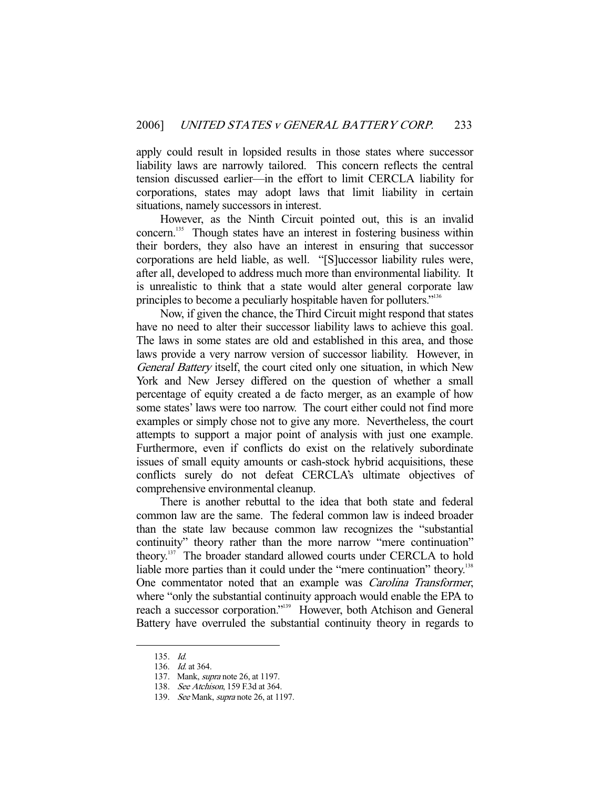apply could result in lopsided results in those states where successor liability laws are narrowly tailored. This concern reflects the central tension discussed earlier—in the effort to limit CERCLA liability for corporations, states may adopt laws that limit liability in certain situations, namely successors in interest.

 However, as the Ninth Circuit pointed out, this is an invalid concern.<sup>135</sup> Though states have an interest in fostering business within their borders, they also have an interest in ensuring that successor corporations are held liable, as well. "[S]uccessor liability rules were, after all, developed to address much more than environmental liability. It is unrealistic to think that a state would alter general corporate law principles to become a peculiarly hospitable haven for polluters."136

 Now, if given the chance, the Third Circuit might respond that states have no need to alter their successor liability laws to achieve this goal. The laws in some states are old and established in this area, and those laws provide a very narrow version of successor liability. However, in General Battery itself, the court cited only one situation, in which New York and New Jersey differed on the question of whether a small percentage of equity created a de facto merger, as an example of how some states' laws were too narrow. The court either could not find more examples or simply chose not to give any more. Nevertheless, the court attempts to support a major point of analysis with just one example. Furthermore, even if conflicts do exist on the relatively subordinate issues of small equity amounts or cash-stock hybrid acquisitions, these conflicts surely do not defeat CERCLA's ultimate objectives of comprehensive environmental cleanup.

 There is another rebuttal to the idea that both state and federal common law are the same. The federal common law is indeed broader than the state law because common law recognizes the "substantial continuity" theory rather than the more narrow "mere continuation" theory.137 The broader standard allowed courts under CERCLA to hold liable more parties than it could under the "mere continuation" theory.<sup>138</sup> One commentator noted that an example was Carolina Transformer, where "only the substantial continuity approach would enable the EPA to reach a successor corporation."139 However, both Atchison and General Battery have overruled the substantial continuity theory in regards to

 <sup>135.</sup> Id.

 <sup>136.</sup> Id. at 364.

 <sup>137.</sup> Mank, supra note 26, at 1197.

 <sup>138.</sup> See Atchison, 159 F.3d at 364.

<sup>139.</sup> See Mank, *supra* note 26, at 1197.